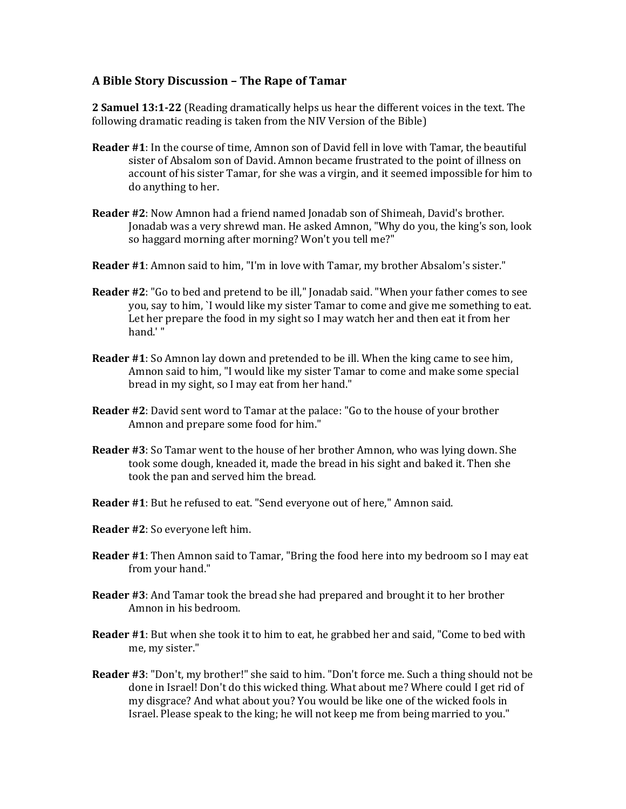#### **A Bible Story Discussion – The Rape of Tamar**

**2 Samuel 13:1-22** (Reading dramatically helps us hear the different voices in the text. The following dramatic reading is taken from the NIV Version of the Bible)

- **Reader #1**: In the course of time, Amnon son of David fell in love with Tamar, the beautiful sister of Absalom son of David. Amnon became frustrated to the point of illness on account of his sister Tamar, for she was a virgin, and it seemed impossible for him to do anything to her.
- **Reader #2**: Now Amnon had a friend named Jonadab son of Shimeah, David's brother. Jonadab was a very shrewd man. He asked Amnon, "Why do you, the king's son, look so haggard morning after morning? Won't you tell me?"
- **Reader #1**: Amnon said to him, "I'm in love with Tamar, my brother Absalom's sister."
- **Reader #2**: "Go to bed and pretend to be ill," Jonadab said. "When your father comes to see you, say to him, `I would like my sister Tamar to come and give me something to eat. Let her prepare the food in my sight so I may watch her and then eat it from her hand.' "
- **Reader #1**: So Amnon lay down and pretended to be ill. When the king came to see him, Amnon said to him, "I would like my sister Tamar to come and make some special bread in my sight, so I may eat from her hand."
- **Reader #2**: David sent word to Tamar at the palace: "Go to the house of your brother Amnon and prepare some food for him."
- **Reader #3**: So Tamar went to the house of her brother Amnon, who was lying down. She took some dough, kneaded it, made the bread in his sight and baked it. Then she took the pan and served him the bread.
- **Reader #1**: But he refused to eat. "Send everyone out of here," Amnon said.
- **Reader #2**: So everyone left him.
- **Reader #1**: Then Amnon said to Tamar, "Bring the food here into my bedroom so I may eat from your hand."
- **Reader #3**: And Tamar took the bread she had prepared and brought it to her brother Amnon in his bedroom.
- **Reader #1**: But when she took it to him to eat, he grabbed her and said, "Come to bed with me, my sister."
- **Reader #3**: "Don't, my brother!" she said to him. "Don't force me. Such a thing should not be done in Israel! Don't do this wicked thing. What about me? Where could I get rid of my disgrace? And what about you? You would be like one of the wicked fools in Israel. Please speak to the king; he will not keep me from being married to you."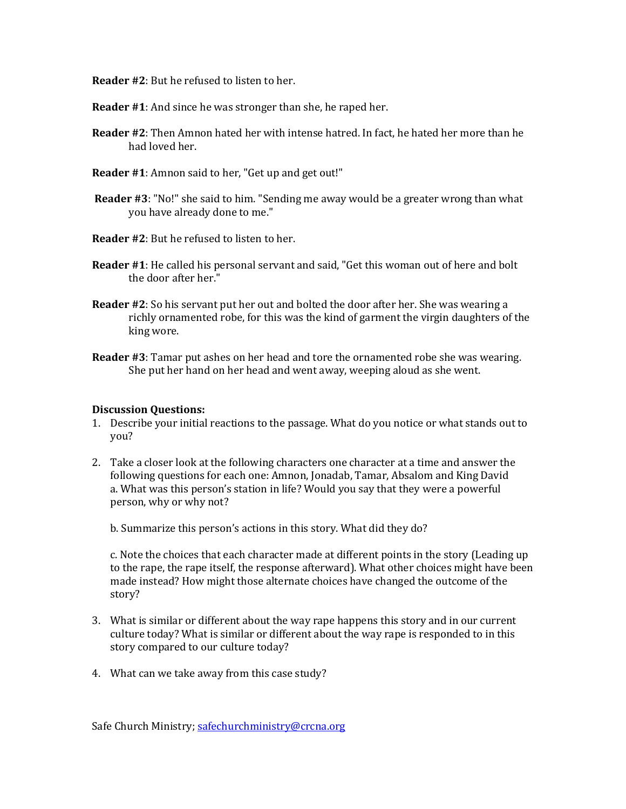**Reader #2**: But he refused to listen to her.

**Reader #1**: And since he was stronger than she, he raped her.

- **Reader #2**: Then Amnon hated her with intense hatred. In fact, he hated her more than he had loved her.
- **Reader #1**: Amnon said to her, "Get up and get out!"
- **Reader #3**: "No!" she said to him. "Sending me away would be a greater wrong than what you have already done to me."
- **Reader #2**: But he refused to listen to her.
- **Reader #1**: He called his personal servant and said, "Get this woman out of here and bolt the door after her."
- **Reader #2**: So his servant put her out and bolted the door after her. She was wearing a richly ornamented robe, for this was the kind of garment the virgin daughters of the king wore.
- **Reader #3**: Tamar put ashes on her head and tore the ornamented robe she was wearing. She put her hand on her head and went away, weeping aloud as she went.

#### **Discussion Questions:**

- 1. Describe your initial reactions to the passage. What do you notice or what stands out to you?
- 2. Take a closer look at the following characters one character at a time and answer the following questions for each one: Amnon, Jonadab, Tamar, Absalom and King David a. What was this person's station in life? Would you say that they were a powerful person, why or why not?

b. Summarize this person's actions in this story. What did they do?

c. Note the choices that each character made at different points in the story (Leading up to the rape, the rape itself, the response afterward). What other choices might have been made instead? How might those alternate choices have changed the outcome of the story?

- 3. What is similar or different about the way rape happens this story and in our current culture today? What is similar or different about the way rape is responded to in this story compared to our culture today?
- 4. What can we take away from this case study?